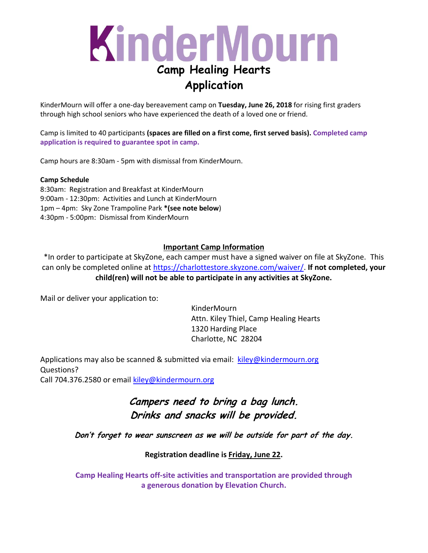### KinderMourn **Camp Healing Hearts Application**

KinderMourn will offer a one-day bereavement camp on **Tuesday, June 26, 2018** for rising first graders through high school seniors who have experienced the death of a loved one or friend.

Camp is limited to 40 participants **(spaces are filled on a first come, first served basis). Completed camp application is required to guarantee spot in camp.**

Camp hours are 8:30am - 5pm with dismissal from KinderMourn.

#### **Camp Schedule**

8:30am: Registration and Breakfast at KinderMourn 9:00am - 12:30pm: Activities and Lunch at KinderMourn 1pm – 4pm: Sky Zone Trampoline Park **\*(see note below**) 4:30pm - 5:00pm: Dismissal from KinderMourn

#### **Important Camp Information**

\*In order to participate at SkyZone, each camper must have a signed waiver on file at SkyZone. This can only be completed online at [https://charlottestore.skyzone.com/waiver/.](https://charlottestore.skyzone.com/waiver/) **If not completed, your child(ren) will not be able to participate in any activities at SkyZone.**

Mail or deliver your application to:

KinderMourn Attn. Kiley Thiel, Camp Healing Hearts 1320 Harding Place Charlotte, NC 28204

Applications may also be scanned & submitted via email: [kiley@kindermourn.org](mailto:kiley@kindermourn.org) Questions? Call 704.376.2580 or email [kiley@kindermourn.org](mailto:kiley@kindermourn.org)

> **Campers need to bring a bag lunch. Drinks and snacks will be provided.**

**Don't forget to wear sunscreen as we will be outside for part of the day.**

**Registration deadline is Friday, June 22.**

**Camp Healing Hearts off-site activities and transportation are provided through a generous donation by Elevation Church.**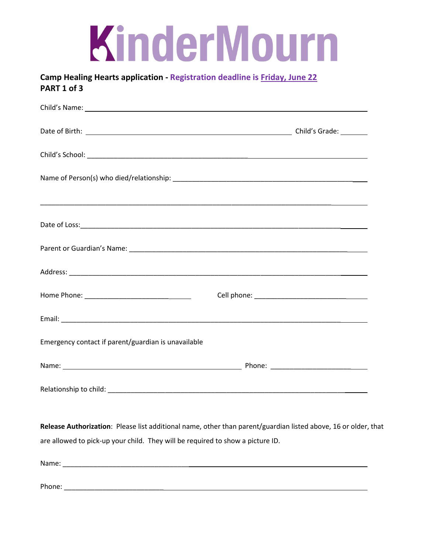#### **Camp Healing Hearts application - Registration deadline is Friday, June 22 PART 1 of 3**

| Child's Name: Name and Society of the Child's Name and Society and Society and Society and Society and Society and Society and Society and Society and Society and Society and Society and Society and Society and Society and |  |
|--------------------------------------------------------------------------------------------------------------------------------------------------------------------------------------------------------------------------------|--|
|                                                                                                                                                                                                                                |  |
|                                                                                                                                                                                                                                |  |
|                                                                                                                                                                                                                                |  |
|                                                                                                                                                                                                                                |  |
|                                                                                                                                                                                                                                |  |
|                                                                                                                                                                                                                                |  |
|                                                                                                                                                                                                                                |  |
|                                                                                                                                                                                                                                |  |
|                                                                                                                                                                                                                                |  |
| Emergency contact if parent/guardian is unavailable                                                                                                                                                                            |  |
|                                                                                                                                                                                                                                |  |
|                                                                                                                                                                                                                                |  |
|                                                                                                                                                                                                                                |  |

**Release Authorization**: Please list additional name, other than parent/guardian listed above, 16 or older, that are allowed to pick-up your child. They will be required to show a picture ID.

Name: \_\_\_\_\_\_\_\_\_\_\_\_\_\_\_\_\_\_\_\_\_\_\_\_\_\_\_\_\_\_\_\_\_

Phone: \_\_\_\_\_\_\_\_\_\_\_\_\_\_\_\_\_\_\_\_\_\_\_\_\_\_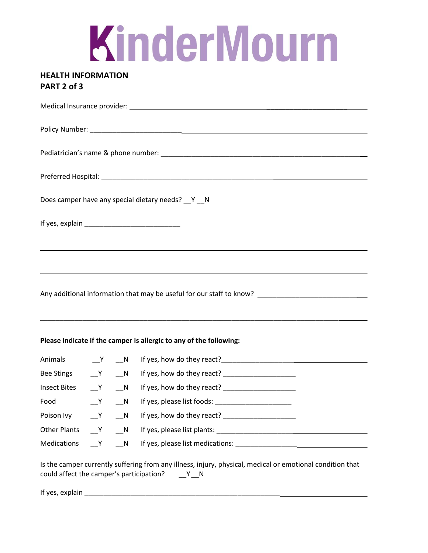### **HEALTH INFORMATION PART 2 of 3**

|                                                                                                      |       |  | Does camper have any special dietary needs? __ Y __ N                                                                                                       |  |
|------------------------------------------------------------------------------------------------------|-------|--|-------------------------------------------------------------------------------------------------------------------------------------------------------------|--|
|                                                                                                      |       |  |                                                                                                                                                             |  |
|                                                                                                      |       |  | <u> 1989 - Jan Salaman Salaman (j. 1989)</u>                                                                                                                |  |
|                                                                                                      |       |  |                                                                                                                                                             |  |
| Any additional information that may be useful for our staff to know? _______________________________ |       |  |                                                                                                                                                             |  |
| Please indicate if the camper is allergic to any of the following:                                   |       |  |                                                                                                                                                             |  |
| Animals N<br>N                                                                                       |       |  |                                                                                                                                                             |  |
| Bee Stings _____Y ____N                                                                              |       |  |                                                                                                                                                             |  |
| Insect Bites ___Y ___N                                                                               |       |  |                                                                                                                                                             |  |
| Food<br><b>Solution Y</b> N                                                                          |       |  |                                                                                                                                                             |  |
| Poison Ivy                                                                                           | $Y$ N |  |                                                                                                                                                             |  |
| Other Plants ___Y                                                                                    |       |  |                                                                                                                                                             |  |
|                                                                                                      |       |  | Medications ___Y ___N lf yes, please list medications: _________________________                                                                            |  |
|                                                                                                      |       |  | Is the camper currently suffering from any illness, injury, physical, medical or emotional condition that<br>could affect the camper's participation? $Y_N$ |  |
|                                                                                                      |       |  |                                                                                                                                                             |  |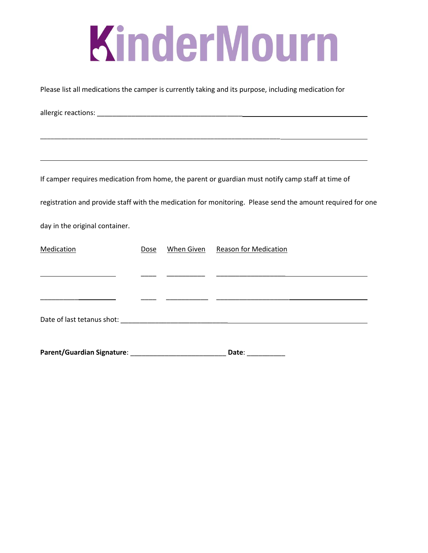Please list all medications the camper is currently taking and its purpose, including medication for

allergic reactions: \_\_\_\_\_\_\_\_\_\_\_\_\_\_\_\_\_\_\_\_\_\_\_\_\_\_\_\_\_\_\_\_\_\_\_\_\_\_ \_\_\_\_\_\_\_\_\_\_\_\_\_\_\_\_\_\_\_\_\_\_\_\_\_\_\_\_\_\_\_\_\_\_\_\_\_\_\_\_\_\_\_\_\_\_\_\_\_\_\_\_\_\_\_\_\_\_\_\_\_\_\_\_\_\_\_\_\_ If camper requires medication from home, the parent or guardian must notify camp staff at time of registration and provide staff with the medication for monitoring. Please send the amount required for one day in the original container. Medication **Dose** When Given Reason for Medication \_\_\_\_ \_\_\_\_\_\_\_\_\_\_ \_\_\_\_\_\_\_\_\_\_\_\_\_\_\_\_\_\_  $\overline{\phantom{a}}$  ,  $\overline{\phantom{a}}$  ,  $\overline{\phantom{a}}$  ,  $\overline{\phantom{a}}$  ,  $\overline{\phantom{a}}$  ,  $\overline{\phantom{a}}$  ,  $\overline{\phantom{a}}$  ,  $\overline{\phantom{a}}$  ,  $\overline{\phantom{a}}$  ,  $\overline{\phantom{a}}$  ,  $\overline{\phantom{a}}$  ,  $\overline{\phantom{a}}$  ,  $\overline{\phantom{a}}$  ,  $\overline{\phantom{a}}$  ,  $\overline{\phantom{a}}$  ,  $\overline{\phantom{a}}$ Date of last tetanus shot: \_\_\_\_\_\_\_\_\_\_\_\_\_\_\_\_\_\_\_\_\_\_\_\_\_\_\_\_ **Parent/Guardian Signature**: \_\_\_\_\_\_\_\_\_\_\_\_\_\_\_\_\_\_\_\_\_\_\_\_\_ **Date**: \_\_\_\_\_\_\_\_\_\_